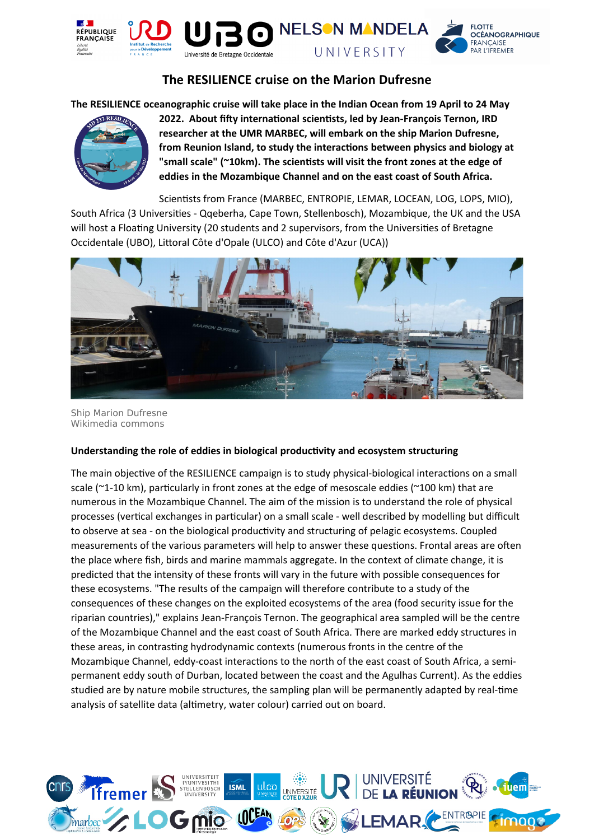

# **The RESILIENCE cruise on the Marion Dufresne**

**The RESILIENCE oceanographic cruise will take place in the Indian Ocean from 19 April to 24 May** 



**2022. About fifty international scientists, led by Jean-François Ternon, IRD researcher at the UMR MARBEC, will embark on the ship Marion Dufresne, from Reunion Island, to study the interactions between physics and biology at "small scale" (~10km). The scientists will visit the front zones at the edge of eddies in the Mozambique Channel and on the east coast of South Africa.**

Scientists from France (MARBEC, ENTROPIE, LEMAR, LOCEAN, LOG, LOPS, MIO), South Africa (3 Universities - Qqeberha, Cape Town, Stellenbosch), Mozambique, the UK and the USA will host a Floating University (20 students and 2 supervisors, from the Universities of Bretagne Occidentale (UBO), Littoral Côte d'Opale (ULCO) and Côte d'Azur (UCA))



Ship Marion Dufresne Wikimedia commons

### **Understanding the role of eddies in biological productivity and ecosystem structuring**

The main objective of the RESILIENCE campaign is to study physical-biological interactions on a small scale ( $\gamma$ 1-10 km), particularly in front zones at the edge of mesoscale eddies ( $\gamma$ 100 km) that are numerous in the Mozambique Channel. The aim of the mission is to understand the role of physical processes (vertical exchanges in particular) on a small scale - well described by modelling but difficult to observe at sea - on the biological productivity and structuring of pelagic ecosystems. Coupled measurements of the various parameters will help to answer these questions. Frontal areas are often the place where fish, birds and marine mammals aggregate. In the context of climate change, it is predicted that the intensity of these fronts will vary in the future with possible consequences for these ecosystems. "The results of the campaign will therefore contribute to a study of the consequences of these changes on the exploited ecosystems of the area (food security issue for the riparian countries)," explains Jean-François Ternon. The geographical area sampled will be the centre of the Mozambique Channel and the east coast of South Africa. There are marked eddy structures in these areas, in contrasting hydrodynamic contexts (numerous fronts in the centre of the Mozambique Channel, eddy-coast interactions to the north of the east coast of South Africa, a semipermanent eddy south of Durban, located between the coast and the Agulhas Current). As the eddies studied are by nature mobile structures, the sampling plan will be permanently adapted by real-time analysis of satellite data (altimetry, water colour) carried out on board.

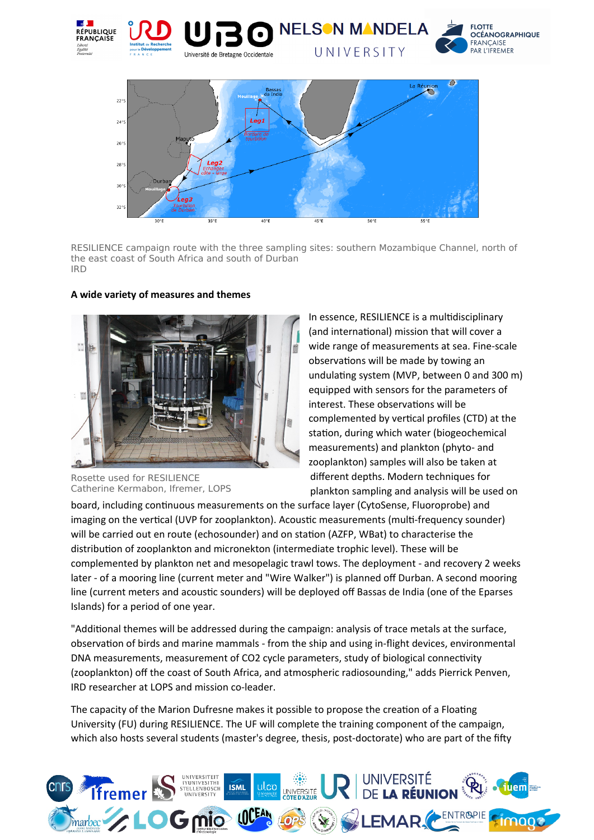



RESILIENCE campaign route with the three sampling sites: southern Mozambique Channel, north of the east coast of South Africa and south of Durban IRD



# **A wide variety of measures and themes**

Rosette used for RESILIENCE Catherine Kermabon, Ifremer, LOPS

In essence, RESILIENCE is a multidisciplinary (and international) mission that will cover a wide range of measurements at sea. Fine-scale observations will be made by towing an undulating system (MVP, between 0 and 300 m) equipped with sensors for the parameters of interest. These observations will be complemented by vertical profiles (CTD) at the station, during which water (biogeochemical measurements) and plankton (phyto- and zooplankton) samples will also be taken at different depths. Modern techniques for plankton sampling and analysis will be used on

board, including continuous measurements on the surface layer (CytoSense, Fluoroprobe) and imaging on the vertical (UVP for zooplankton). Acoustic measurements (multi-frequency sounder) will be carried out en route (echosounder) and on station (AZFP, WBat) to characterise the distribution of zooplankton and micronekton (intermediate trophic level). These will be complemented by plankton net and mesopelagic trawl tows. The deployment - and recovery 2 weeks later - of a mooring line (current meter and "Wire Walker") is planned off Durban. A second mooring line (current meters and acoustic sounders) will be deployed off Bassas de India (one of the Eparses Islands) for a period of one year.

"Additional themes will be addressed during the campaign: analysis of trace metals at the surface, observation of birds and marine mammals - from the ship and using in-flight devices, environmental DNA measurements, measurement of CO2 cycle parameters, study of biological connectivity (zooplankton) off the coast of South Africa, and atmospheric radiosounding," adds Pierrick Penven, IRD researcher at LOPS and mission co-leader.

The capacity of the Marion Dufresne makes it possible to propose the creation of a Floating University (FU) during RESILIENCE. The UF will complete the training component of the campaign, which also hosts several students (master's degree, thesis, post-doctorate) who are part of the fifty

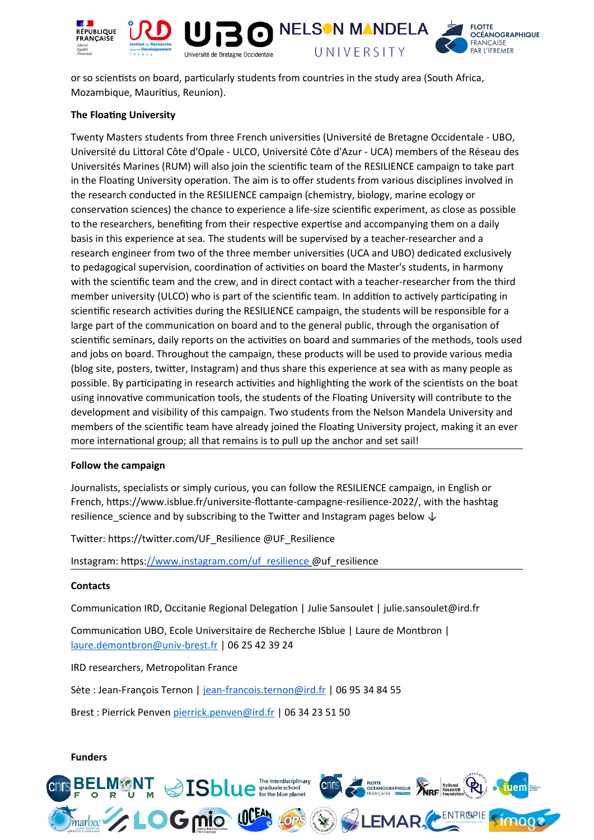

or so scientists on board, particularly students from countries in the study area (South Africa, Mozambique, Mauritius, Reunion).

# **The Floating University**

Twenty Masters students from three French universities (Université de Bretagne Occidentale - UBO, Université du Littoral Côte d'Opale - ULCO, Université Côte d'Azur - UCA) members of the Réseau des Universités Marines (RUM) will also join the scientific team of the RESILIENCE campaign to take part in the Floating University operation. The aim is to offer students from various disciplines involved in the research conducted in the RESILIENCE campaign (chemistry, biology, marine ecology or conservation sciences) the chance to experience a life-size scientific experiment, as close as possible to the researchers, benefiting from their respective expertise and accompanying them on a daily basis in this experience at sea. The students will be supervised by a teacher-researcher and a research engineer from two of the three member universities (UCA and UBO) dedicated exclusively to pedagogical supervision, coordination of activities on board the Master's students, in harmony with the scientific team and the crew, and in direct contact with a teacher-researcher from the third member university (ULCO) who is part of the scientific team. In addition to actively participating in scientific research activities during the RESILIENCE campaign, the students will be responsible for a large part of the communication on board and to the general public, through the organisation of scientific seminars, daily reports on the activities on board and summaries of the methods, tools used and jobs on board. Throughout the campaign, these products will be used to provide various media (blog site, posters, twitter, Instagram) and thus share this experience at sea with as many people as possible. By participating in research activities and highlighting the work of the scientists on the boat using innovative communication tools, the students of the Floating University will contribute to the development and visibility of this campaign. Two students from the Nelson Mandela University and members of the scientific team have already joined the Floating University project, making it an ever more international group; all that remains is to pull up the anchor and set sail!

### **Follow the campaign**

Journalists, specialists or simply curious, you can follow the RESILIENCE campaign, in English or French, https://www.isblue.fr/universite-flottante-campagne-resilience-2022/, with the hashtag resilience\_science and by subscribing to the Twitter and Instagram pages below  $\downarrow$ 

Twitter: https://twitter.com/UF\_Resilience @UF\_Resilience

Instagram: https://www.instagram.com/uf\_resilience @uf\_resilience

### **Contacts**

Communication IRD, Occitanie Regional Delegation | Julie Sansoulet | julie.sansoulet@ird.fr

Communication UBO, Ecole Universitaire de Recherche ISblue | Laure de Montbron | laure.demontbron@univ-brest.fr | 06 25 42 39 24

IRD researchers, Metropolitan France

Sète : Jean-François Ternon | jean-francois.ternon@ird.fr | 06 95 34 84 55

Brest : Pierrick Penven [pierrick.penven@ird.fr](mailto:pierrick.penven@ird.fr) | 06 34 23 51 50

#### **Funders**